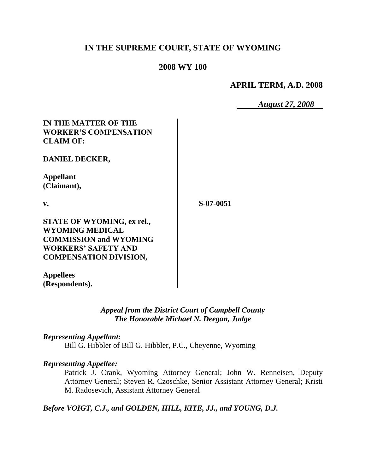# **IN THE SUPREME COURT, STATE OF WYOMING**

### **2008 WY 100**

**APRIL TERM, A.D. 2008**

*August 27, 2008*

| IN THE MATTER OF THE              |  |
|-----------------------------------|--|
| <b>WORKER'S COMPENSATION</b>      |  |
| <b>CLAIM OF:</b>                  |  |
| <b>DANIEL DECKER,</b>             |  |
| Appellant                         |  |
| (Claimant),                       |  |
| v.                                |  |
| <b>STATE OF WYOMING, ex rel.,</b> |  |
| <b>WYOMING MEDICAL</b>            |  |
| <b>COMMISSION and WYOMING</b>     |  |
| <b>WORKERS' SAFETY AND</b>        |  |
| <b>COMPENSATION DIVISION,</b>     |  |
|                                   |  |

**Appellees (Respondents).**

### *Appeal from the District Court of Campbell County The Honorable Michael N. Deegan, Judge*

**S-07-0051**

### *Representing Appellant:*

Bill G. Hibbler of Bill G. Hibbler, P.C., Cheyenne, Wyoming

#### *Representing Appellee:*

Patrick J. Crank, Wyoming Attorney General; John W. Renneisen, Deputy Attorney General; Steven R. Czoschke, Senior Assistant Attorney General; Kristi M. Radosevich, Assistant Attorney General

*Before VOIGT, C.J., and GOLDEN, HILL, KITE, JJ., and YOUNG, D.J.*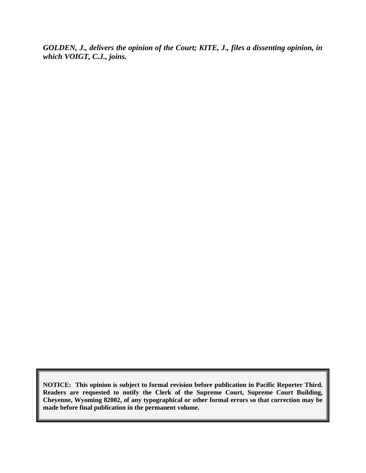*GOLDEN, J., delivers the opinion of the Court; KITE, J., files a dissenting opinion, in which VOIGT, C.J., joins.*

**NOTICE: This opinion is subject to formal revision before publication in Pacific Reporter Third. Readers are requested to notify the Clerk of the Supreme Court, Supreme Court Building, Cheyenne, Wyoming 82002, of any typographical or other formal errors so that correction may be made before final publication in the permanent volume.**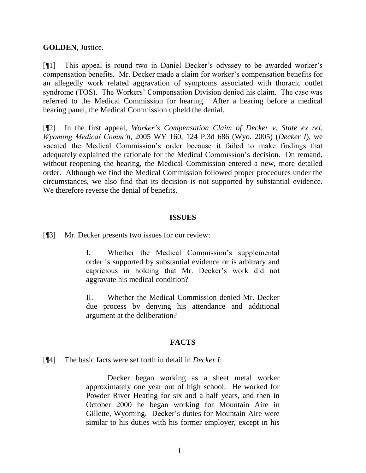### **GOLDEN**, Justice.

[¶1] This appeal is round two in Daniel Decker's odyssey to be awarded worker's compensation benefits. Mr. Decker made a claim for worker's compensation benefits for an allegedly work related aggravation of symptoms associated with thoracic outlet syndrome (TOS). The Workers' Compensation Division denied his claim. The case was referred to the Medical Commission for hearing. After a hearing before a medical hearing panel, the Medical Commission upheld the denial.

[¶2] In the first appeal, *Worker's Compensation Claim of Decker v. State ex rel. Wyoming Medical Comm'n*, 2005 WY 160, 124 P.3d 686 (Wyo. 2005) (*Decker I*), we vacated the Medical Commission's order because it failed to make findings that adequately explained the rationale for the Medical Commission's decision. On remand, without reopening the hearing, the Medical Commission entered a new, more detailed order. Although we find the Medical Commission followed proper procedures under the circumstances, we also find that its decision is not supported by substantial evidence. We therefore reverse the denial of benefits.

#### **ISSUES**

[¶3] Mr. Decker presents two issues for our review:

I. Whether the Medical Commission's supplemental order is supported by substantial evidence or is arbitrary and capricious in holding that Mr. Decker's work did not aggravate his medical condition?

II. Whether the Medical Commission denied Mr. Decker due process by denying his attendance and additional argument at the deliberation?

# **FACTS**

### [¶4] The basic facts were set forth in detail in *Decker I*:

Decker began working as a sheet metal worker approximately one year out of high school. He worked for Powder River Heating for six and a half years, and then in October 2000 he began working for Mountain Aire in Gillette, Wyoming. Decker's duties for Mountain Aire were similar to his duties with his former employer, except in his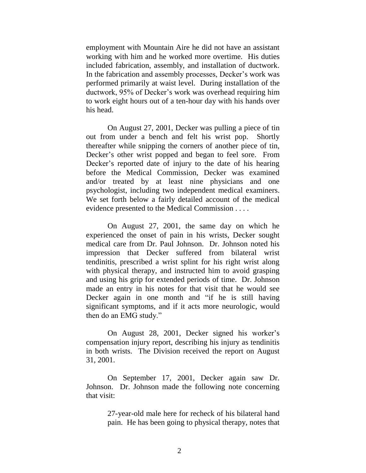employment with Mountain Aire he did not have an assistant working with him and he worked more overtime. His duties included fabrication, assembly, and installation of ductwork. In the fabrication and assembly processes, Decker's work was performed primarily at waist level. During installation of the ductwork, 95% of Decker's work was overhead requiring him to work eight hours out of a ten-hour day with his hands over his head.

On August 27, 2001, Decker was pulling a piece of tin out from under a bench and felt his wrist pop. Shortly thereafter while snipping the corners of another piece of tin, Decker's other wrist popped and began to feel sore. From Decker's reported date of injury to the date of his hearing before the Medical Commission, Decker was examined and/or treated by at least nine physicians and one psychologist, including two independent medical examiners. We set forth below a fairly detailed account of the medical evidence presented to the Medical Commission . . . .

On August 27, 2001, the same day on which he experienced the onset of pain in his wrists, Decker sought medical care from Dr. Paul Johnson. Dr. Johnson noted his impression that Decker suffered from bilateral wrist tendinitis, prescribed a wrist splint for his right wrist along with physical therapy, and instructed him to avoid grasping and using his grip for extended periods of time. Dr. Johnson made an entry in his notes for that visit that he would see Decker again in one month and "if he is still having significant symptoms, and if it acts more neurologic, would then do an EMG study."

On August 28, 2001, Decker signed his worker's compensation injury report, describing his injury as tendinitis in both wrists. The Division received the report on August 31, 2001.

On September 17, 2001, Decker again saw Dr. Johnson. Dr. Johnson made the following note concerning that visit:

> 27-year-old male here for recheck of his bilateral hand pain. He has been going to physical therapy, notes that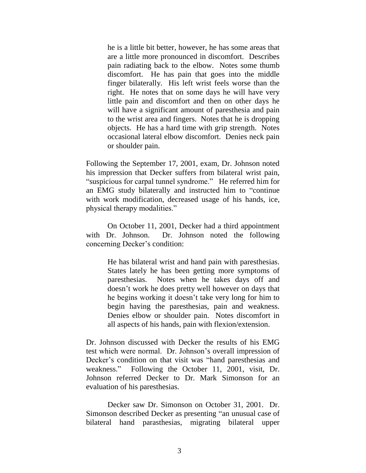he is a little bit better, however, he has some areas that are a little more pronounced in discomfort. Describes pain radiating back to the elbow. Notes some thumb discomfort. He has pain that goes into the middle finger bilaterally. His left wrist feels worse than the right. He notes that on some days he will have very little pain and discomfort and then on other days he will have a significant amount of paresthesia and pain to the wrist area and fingers. Notes that he is dropping objects. He has a hard time with grip strength. Notes occasional lateral elbow discomfort. Denies neck pain or shoulder pain.

Following the September 17, 2001, exam, Dr. Johnson noted his impression that Decker suffers from bilateral wrist pain, "suspicious for carpal tunnel syndrome." He referred him for an EMG study bilaterally and instructed him to "continue with work modification, decreased usage of his hands, ice, physical therapy modalities."

On October 11, 2001, Decker had a third appointment with Dr. Johnson. Dr. Johnson noted the following concerning Decker's condition:

> He has bilateral wrist and hand pain with paresthesias. States lately he has been getting more symptoms of paresthesias. Notes when he takes days off and doesn't work he does pretty well however on days that he begins working it doesn't take very long for him to begin having the paresthesias, pain and weakness. Denies elbow or shoulder pain. Notes discomfort in all aspects of his hands, pain with flexion/extension.

Dr. Johnson discussed with Decker the results of his EMG test which were normal. Dr. Johnson's overall impression of Decker's condition on that visit was "hand paresthesias and weakness." Following the October 11, 2001, visit, Dr. Johnson referred Decker to Dr. Mark Simonson for an evaluation of his paresthesias.

Decker saw Dr. Simonson on October 31, 2001. Dr. Simonson described Decker as presenting "an unusual case of bilateral hand parasthesias, migrating bilateral upper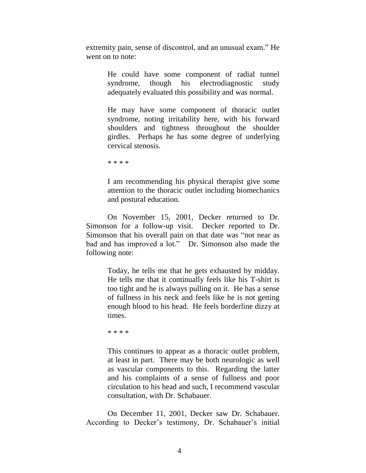extremity pain, sense of discontrol, and an unusual exam." He went on to note:

> He could have some component of radial tunnel syndrome, though his electrodiagnostic study adequately evaluated this possibility and was normal.

> He may have some component of thoracic outlet syndrome, noting irritability here, with his forward shoulders and tightness throughout the shoulder girdles. Perhaps he has some degree of underlying cervical stenosis.

\* \* \* \*

I am recommending his physical therapist give some attention to the thoracic outlet including biomechanics and postural education.

On November 15, 2001, Decker returned to Dr. Simonson for a follow-up visit. Decker reported to Dr. Simonson that his overall pain on that date was "not near as bad and has improved a lot." Dr. Simonson also made the following note:

> Today, he tells me that he gets exhausted by midday. He tells me that it continually feels like his T-shirt is too tight and he is always pulling on it. He has a sense of fullness in his neck and feels like he is not getting enough blood to his head. He feels borderline dizzy at times.

\* \* \* \*

This continues to appear as a thoracic outlet problem, at least in part. There may be both neurologic as well as vascular components to this. Regarding the latter and his complaints of a sense of fullness and poor circulation to his head and such, I recommend vascular consultation, with Dr. Schabauer.

On December 11, 2001, Decker saw Dr. Schabauer. According to Decker's testimony, Dr. Schabauer's initial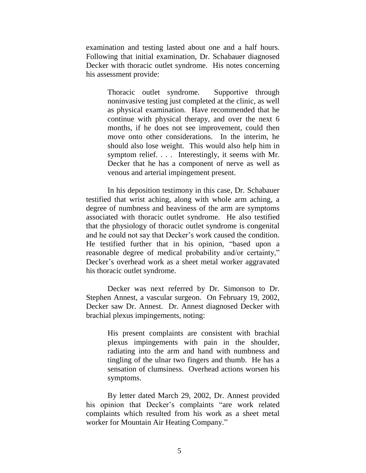examination and testing lasted about one and a half hours. Following that initial examination, Dr. Schabauer diagnosed Decker with thoracic outlet syndrome. His notes concerning his assessment provide:

> Thoracic outlet syndrome. Supportive through noninvasive testing just completed at the clinic, as well as physical examination. Have recommended that he continue with physical therapy, and over the next 6 months, if he does not see improvement, could then move onto other considerations. In the interim, he should also lose weight. This would also help him in symptom relief. . . . Interestingly, it seems with Mr. Decker that he has a component of nerve as well as venous and arterial impingement present.

In his deposition testimony in this case, Dr. Schabauer testified that wrist aching, along with whole arm aching, a degree of numbness and heaviness of the arm are symptoms associated with thoracic outlet syndrome. He also testified that the physiology of thoracic outlet syndrome is congenital and he could not say that Decker's work caused the condition. He testified further that in his opinion, "based upon a reasonable degree of medical probability and/or certainty," Decker's overhead work as a sheet metal worker aggravated his thoracic outlet syndrome.

Decker was next referred by Dr. Simonson to Dr. Stephen Annest, a vascular surgeon. On February 19, 2002, Decker saw Dr. Annest. Dr. Annest diagnosed Decker with brachial plexus impingements, noting:

> His present complaints are consistent with brachial plexus impingements with pain in the shoulder, radiating into the arm and hand with numbness and tingling of the ulnar two fingers and thumb. He has a sensation of clumsiness. Overhead actions worsen his symptoms.

By letter dated March 29, 2002, Dr. Annest provided his opinion that Decker's complaints "are work related complaints which resulted from his work as a sheet metal worker for Mountain Air Heating Company."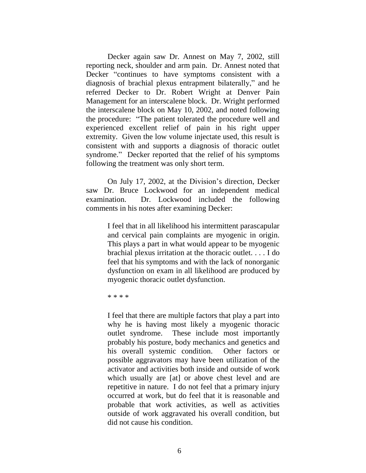Decker again saw Dr. Annest on May 7, 2002, still reporting neck, shoulder and arm pain. Dr. Annest noted that Decker "continues to have symptoms consistent with a diagnosis of brachial plexus entrapment bilaterally," and he referred Decker to Dr. Robert Wright at Denver Pain Management for an interscalene block. Dr. Wright performed the interscalene block on May 10, 2002, and noted following the procedure: "The patient tolerated the procedure well and experienced excellent relief of pain in his right upper extremity. Given the low volume injectate used, this result is consistent with and supports a diagnosis of thoracic outlet syndrome." Decker reported that the relief of his symptoms following the treatment was only short term.

On July 17, 2002, at the Division's direction, Decker saw Dr. Bruce Lockwood for an independent medical examination. Dr. Lockwood included the following comments in his notes after examining Decker:

> I feel that in all likelihood his intermittent parascapular and cervical pain complaints are myogenic in origin. This plays a part in what would appear to be myogenic brachial plexus irritation at the thoracic outlet. . . . I do feel that his symptoms and with the lack of nonorganic dysfunction on exam in all likelihood are produced by myogenic thoracic outlet dysfunction.

\* \* \* \*

I feel that there are multiple factors that play a part into why he is having most likely a myogenic thoracic outlet syndrome. These include most importantly probably his posture, body mechanics and genetics and his overall systemic condition. Other factors or possible aggravators may have been utilization of the activator and activities both inside and outside of work which usually are [at] or above chest level and are repetitive in nature. I do not feel that a primary injury occurred at work, but do feel that it is reasonable and probable that work activities, as well as activities outside of work aggravated his overall condition, but did not cause his condition.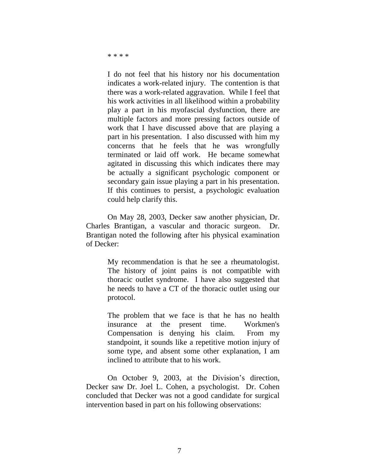\* \* \* \*

I do not feel that his history nor his documentation indicates a work-related injury. The contention is that there was a work-related aggravation. While I feel that his work activities in all likelihood within a probability play a part in his myofascial dysfunction, there are multiple factors and more pressing factors outside of work that I have discussed above that are playing a part in his presentation. I also discussed with him my concerns that he feels that he was wrongfully terminated or laid off work. He became somewhat agitated in discussing this which indicates there may be actually a significant psychologic component or secondary gain issue playing a part in his presentation. If this continues to persist, a psychologic evaluation could help clarify this.

On May 28, 2003, Decker saw another physician, Dr. Charles Brantigan, a vascular and thoracic surgeon. Dr. Brantigan noted the following after his physical examination of Decker:

> My recommendation is that he see a rheumatologist. The history of joint pains is not compatible with thoracic outlet syndrome. I have also suggested that he needs to have a CT of the thoracic outlet using our protocol.

> The problem that we face is that he has no health insurance at the present time. Workmen's Compensation is denying his claim. From my standpoint, it sounds like a repetitive motion injury of some type, and absent some other explanation, I am inclined to attribute that to his work.

On October 9, 2003, at the Division's direction, Decker saw Dr. Joel L. Cohen, a psychologist. Dr. Cohen concluded that Decker was not a good candidate for surgical intervention based in part on his following observations: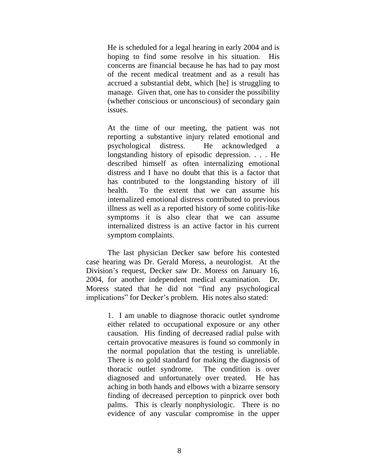He is scheduled for a legal hearing in early 2004 and is hoping to find some resolve in his situation. His concerns are financial because he has had to pay most of the recent medical treatment and as a result has accrued a substantial debt, which [he] is struggling to manage. Given that, one has to consider the possibility (whether conscious or unconscious) of secondary gain issues.

At the time of our meeting, the patient was not reporting a substantive injury related emotional and psychological distress. He acknowledged a longstanding history of episodic depression. . . . He described himself as often internalizing emotional distress and I have no doubt that this is a factor that has contributed to the longstanding history of ill health. To the extent that we can assume his internalized emotional distress contributed to previous illness as well as a reported history of some colitis-like symptoms it is also clear that we can assume internalized distress is an active factor in his current symptom complaints.

The last physician Decker saw before his contested case hearing was Dr. Gerald Moress, a neurologist. At the Division's request, Decker saw Dr. Moress on January 16, 2004, for another independent medical examination. Dr. Moress stated that he did not "find any psychological implications" for Decker's problem. His notes also stated:

> 1. I am unable to diagnose thoracic outlet syndrome either related to occupational exposure or any other causation. His finding of decreased radial pulse with certain provocative measures is found so commonly in the normal population that the testing is unreliable. There is no gold standard for making the diagnosis of thoracic outlet syndrome. The condition is over diagnosed and unfortunately over treated. He has aching in both hands and elbows with a bizarre sensory finding of decreased perception to pinprick over both palms. This is clearly nonphysiologic. There is no evidence of any vascular compromise in the upper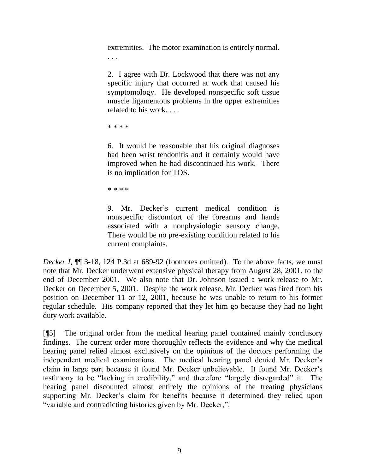extremities. The motor examination is entirely normal. . . .

2. I agree with Dr. Lockwood that there was not any specific injury that occurred at work that caused his symptomology. He developed nonspecific soft tissue muscle ligamentous problems in the upper extremities related to his work. . . .

\* \* \* \*

6. It would be reasonable that his original diagnoses had been wrist tendonitis and it certainly would have improved when he had discontinued his work. There is no implication for TOS.

\* \* \* \*

9. Mr. Decker's current medical condition is nonspecific discomfort of the forearms and hands associated with a nonphysiologic sensory change. There would be no pre-existing condition related to his current complaints.

*Decker I*, **[1]** 3-18, 124 P.3d at 689-92 (footnotes omitted). To the above facts, we must note that Mr. Decker underwent extensive physical therapy from August 28, 2001, to the end of December 2001. We also note that Dr. Johnson issued a work release to Mr. Decker on December 5, 2001. Despite the work release, Mr. Decker was fired from his position on December 11 or 12, 2001, because he was unable to return to his former regular schedule. His company reported that they let him go because they had no light duty work available.

[¶5] The original order from the medical hearing panel contained mainly conclusory findings. The current order more thoroughly reflects the evidence and why the medical hearing panel relied almost exclusively on the opinions of the doctors performing the independent medical examinations. The medical hearing panel denied Mr. Decker's claim in large part because it found Mr. Decker unbelievable. It found Mr. Decker's testimony to be "lacking in credibility," and therefore "largely disregarded" it. The hearing panel discounted almost entirely the opinions of the treating physicians supporting Mr. Decker's claim for benefits because it determined they relied upon "variable and contradicting histories given by Mr. Decker,":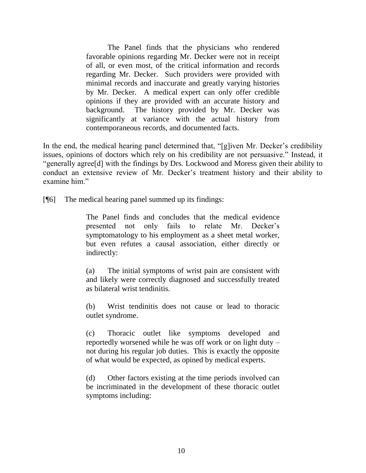The Panel finds that the physicians who rendered favorable opinions regarding Mr. Decker were not in receipt of all, or even most, of the critical information and records regarding Mr. Decker. Such providers were provided with minimal records and inaccurate and greatly varying histories by Mr. Decker. A medical expert can only offer credible opinions if they are provided with an accurate history and background. The history provided by Mr. Decker was significantly at variance with the actual history from contemporaneous records, and documented facts.

In the end, the medical hearing panel determined that, "[g]iven Mr. Decker's credibility issues, opinions of doctors which rely on his credibility are not persuasive." Instead, it "generally agree[d] with the findings by Drs. Lockwood and Moress given their ability to conduct an extensive review of Mr. Decker's treatment history and their ability to examine him."

[¶6] The medical hearing panel summed up its findings:

The Panel finds and concludes that the medical evidence presented not only fails to relate Mr. Decker's symptomatology to his employment as a sheet metal worker, but even refutes a causal association, either directly or indirectly:

(a) The initial symptoms of wrist pain are consistent with and likely were correctly diagnosed and successfully treated as bilateral wrist tendinitis.

(b) Wrist tendinitis does not cause or lead to thoracic outlet syndrome.

(c) Thoracic outlet like symptoms developed and reportedly worsened while he was off work or on light duty – not during his regular job duties. This is exactly the opposite of what would be expected, as opined by medical experts.

(d) Other factors existing at the time periods involved can be incriminated in the development of these thoracic outlet symptoms including: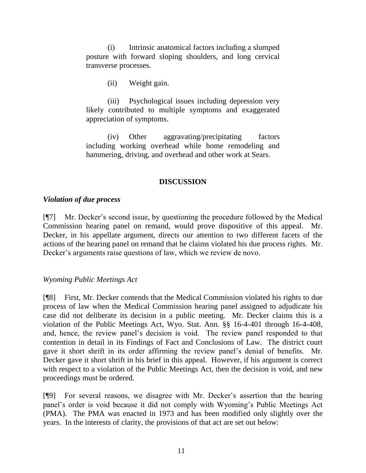(i) Intrinsic anatomical factors including a slumped posture with forward sloping shoulders, and long cervical transverse processes.

(ii) Weight gain.

(iii) Psychological issues including depression very likely contributed to multiple symptoms and exaggerated appreciation of symptoms.

(iv) Other aggravating/precipitating factors including working overhead while home remodeling and hammering, driving, and overhead and other work at Sears.

# **DISCUSSION**

# *Violation of due process*

[¶7] Mr. Decker's second issue, by questioning the procedure followed by the Medical Commission hearing panel on remand, would prove dispositive of this appeal. Mr. Decker, in his appellate argument, directs our attention to two different facets of the actions of the hearing panel on remand that he claims violated his due process rights. Mr. Decker's arguments raise questions of law, which we review de novo.

# *Wyoming Public Meetings Act*

[¶8] First, Mr. Decker contends that the Medical Commission violated his rights to due process of law when the Medical Commission hearing panel assigned to adjudicate his case did not deliberate its decision in a public meeting. Mr. Decker claims this is a violation of the Public Meetings Act, Wyo. Stat. Ann. §§ 16-4-401 through 16-4-408, and, hence, the review panel's decision is void. The review panel responded to that contention in detail in its Findings of Fact and Conclusions of Law. The district court gave it short shrift in its order affirming the review panel's denial of benefits. Mr. Decker gave it short shrift in his brief in this appeal. However, if his argument is correct with respect to a violation of the Public Meetings Act, then the decision is void, and new proceedings must be ordered.

[¶9] For several reasons, we disagree with Mr. Decker's assertion that the hearing panel's order is void because it did not comply with Wyoming's Public Meetings Act (PMA). The PMA was enacted in 1973 and has been modified only slightly over the years. In the interests of clarity, the provisions of that act are set out below: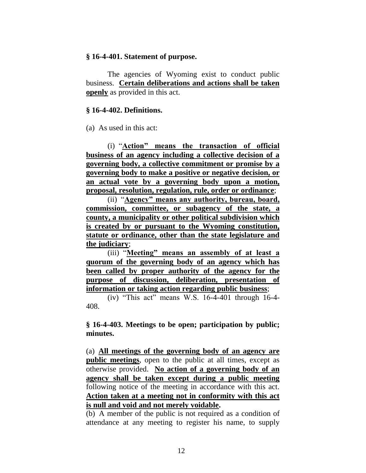#### **§ 16-4-401. Statement of purpose.**

The agencies of Wyoming exist to conduct public business. **Certain deliberations and actions shall be taken openly** as provided in this act.

#### **§ 16-4-402. Definitions.**

(a) As used in this act:

(i) "**Action" means the transaction of official business of an agency including a collective decision of a governing body, a collective commitment or promise by a governing body to make a positive or negative decision, or an actual vote by a governing body upon a motion, proposal, resolution, regulation, rule, order or ordinance**;

(ii) "**Agency" means any authority, bureau, board, commission, committee, or subagency of the state, a county, a municipality or other political subdivision which is created by or pursuant to the Wyoming constitution, statute or ordinance, other than the state legislature and the judiciary**;

(iii) "**Meeting" means an assembly of at least a quorum of the governing body of an agency which has been called by proper authority of the agency for the purpose of discussion, deliberation, presentation of information or taking action regarding public business**;

(iv) "This act" means W.S. 16-4-401 through 16-4- 408.

**§ 16-4-403. Meetings to be open; participation by public; minutes.**

(a) **All meetings of the governing body of an agency are public meetings**, open to the public at all times, except as otherwise provided. **No action of a governing body of an agency shall be taken except during a public meeting** following notice of the meeting in accordance with this act. **Action taken at a meeting not in conformity with this act is null and void and not merely voidable.**

(b) A member of the public is not required as a condition of attendance at any meeting to register his name, to supply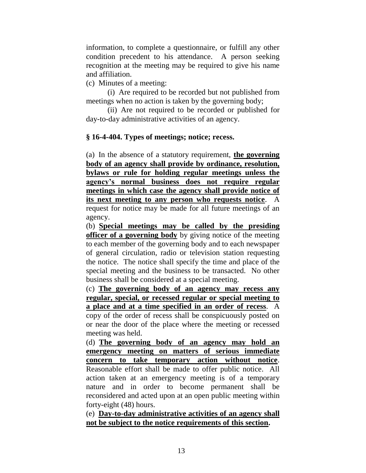information, to complete a questionnaire, or fulfill any other condition precedent to his attendance. A person seeking recognition at the meeting may be required to give his name and affiliation.

(c) Minutes of a meeting:

(i) Are required to be recorded but not published from meetings when no action is taken by the governing body;

(ii) Are not required to be recorded or published for day-to-day administrative activities of an agency.

### **§ 16-4-404. Types of meetings; notice; recess.**

(a) In the absence of a statutory requirement, **the governing body of an agency shall provide by ordinance, resolution, bylaws or rule for holding regular meetings unless the agency's normal business does not require regular meetings in which case the agency shall provide notice of its next meeting to any person who requests notice**. A request for notice may be made for all future meetings of an agency.

(b) **Special meetings may be called by the presiding officer of a governing body** by giving notice of the meeting to each member of the governing body and to each newspaper of general circulation, radio or television station requesting the notice. The notice shall specify the time and place of the special meeting and the business to be transacted. No other business shall be considered at a special meeting.

(c) **The governing body of an agency may recess any regular, special, or recessed regular or special meeting to a place and at a time specified in an order of recess**. A copy of the order of recess shall be conspicuously posted on or near the door of the place where the meeting or recessed meeting was held.

(d) **The governing body of an agency may hold an emergency meeting on matters of serious immediate concern to take temporary action without notice**. Reasonable effort shall be made to offer public notice. All action taken at an emergency meeting is of a temporary nature and in order to become permanent shall be reconsidered and acted upon at an open public meeting within forty-eight (48) hours.

(e) **Day-to-day administrative activities of an agency shall not be subject to the notice requirements of this section.**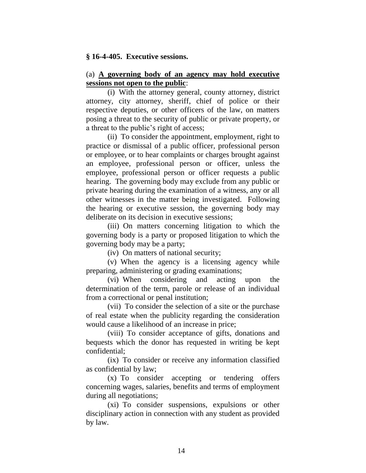#### **§ 16-4-405. Executive sessions.**

#### (a) **A governing body of an agency may hold executive sessions not open to the public**:

(i) With the attorney general, county attorney, district attorney, city attorney, sheriff, chief of police or their respective deputies, or other officers of the law, on matters posing a threat to the security of public or private property, or a threat to the public's right of access;

(ii) To consider the appointment, employment, right to practice or dismissal of a public officer, professional person or employee, or to hear complaints or charges brought against an employee, professional person or officer, unless the employee, professional person or officer requests a public hearing. The governing body may exclude from any public or private hearing during the examination of a witness, any or all other witnesses in the matter being investigated. Following the hearing or executive session, the governing body may deliberate on its decision in executive sessions;

(iii) On matters concerning litigation to which the governing body is a party or proposed litigation to which the governing body may be a party;

(iv) On matters of national security;

(v) When the agency is a licensing agency while preparing, administering or grading examinations;

(vi) When considering and acting upon the determination of the term, parole or release of an individual from a correctional or penal institution;

(vii) To consider the selection of a site or the purchase of real estate when the publicity regarding the consideration would cause a likelihood of an increase in price;

(viii) To consider acceptance of gifts, donations and bequests which the donor has requested in writing be kept confidential;

(ix) To consider or receive any information classified as confidential by law;

(x) To consider accepting or tendering offers concerning wages, salaries, benefits and terms of employment during all negotiations;

(xi) To consider suspensions, expulsions or other disciplinary action in connection with any student as provided by law.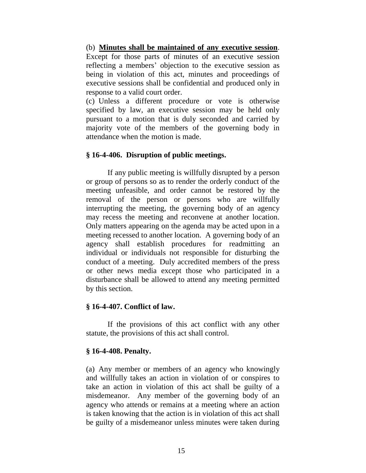### (b) **Minutes shall be maintained of any executive session**.

Except for those parts of minutes of an executive session reflecting a members' objection to the executive session as being in violation of this act, minutes and proceedings of executive sessions shall be confidential and produced only in response to a valid court order.

(c) Unless a different procedure or vote is otherwise specified by law, an executive session may be held only pursuant to a motion that is duly seconded and carried by majority vote of the members of the governing body in attendance when the motion is made.

# **§ 16-4-406. Disruption of public meetings.**

If any public meeting is willfully disrupted by a person or group of persons so as to render the orderly conduct of the meeting unfeasible, and order cannot be restored by the removal of the person or persons who are willfully interrupting the meeting, the governing body of an agency may recess the meeting and reconvene at another location. Only matters appearing on the agenda may be acted upon in a meeting recessed to another location. A governing body of an agency shall establish procedures for readmitting an individual or individuals not responsible for disturbing the conduct of a meeting. Duly accredited members of the press or other news media except those who participated in a disturbance shall be allowed to attend any meeting permitted by this section.

### **§ 16-4-407. Conflict of law.**

If the provisions of this act conflict with any other statute, the provisions of this act shall control.

# **§ 16-4-408. Penalty.**

(a) Any member or members of an agency who knowingly and willfully takes an action in violation of or conspires to take an action in violation of this act shall be guilty of a misdemeanor. Any member of the governing body of an agency who attends or remains at a meeting where an action is taken knowing that the action is in violation of this act shall be guilty of a misdemeanor unless minutes were taken during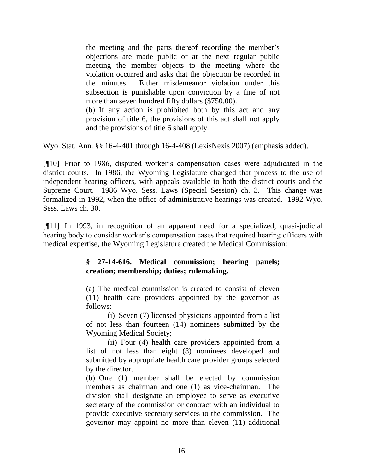the meeting and the parts thereof recording the member's objections are made public or at the next regular public meeting the member objects to the meeting where the violation occurred and asks that the objection be recorded in the minutes. Either misdemeanor violation under this subsection is punishable upon conviction by a fine of not more than seven hundred fifty dollars (\$750.00).

(b) If any action is prohibited both by this act and any provision of title 6, the provisions of this act shall not apply and the provisions of title 6 shall apply.

Wyo. Stat. Ann. §§ 16-4-401 through 16-4-408 (LexisNexis 2007) (emphasis added).

[¶10] Prior to 1986, disputed worker's compensation cases were adjudicated in the district courts. In 1986, the Wyoming Legislature changed that process to the use of independent hearing officers, with appeals available to both the district courts and the Supreme Court. 1986 Wyo. Sess. Laws (Special Session) ch. 3. This change was formalized in 1992, when the office of administrative hearings was created. 1992 Wyo. Sess. Laws ch. 30.

[¶11] In 1993, in recognition of an apparent need for a specialized, quasi-judicial hearing body to consider worker's compensation cases that required hearing officers with medical expertise, the Wyoming Legislature created the Medical Commission:

# **§ 27-14-616. Medical commission; hearing panels; creation; membership; duties; rulemaking.**

(a) The medical commission is created to consist of eleven (11) health care providers appointed by the governor as follows:

(i) Seven (7) licensed physicians appointed from a list of not less than fourteen (14) nominees submitted by the Wyoming Medical Society;

(ii) Four (4) health care providers appointed from a list of not less than eight (8) nominees developed and submitted by appropriate health care provider groups selected by the director.

(b) One (1) member shall be elected by commission members as chairman and one (1) as vice-chairman. The division shall designate an employee to serve as executive secretary of the commission or contract with an individual to provide executive secretary services to the commission. The governor may appoint no more than eleven (11) additional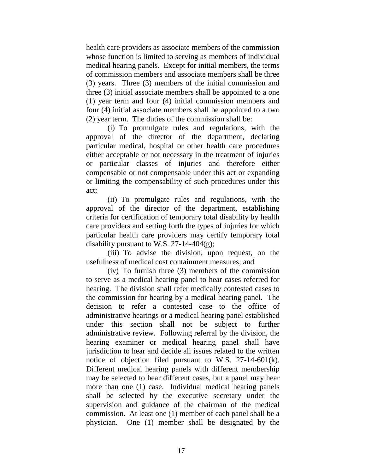health care providers as associate members of the commission whose function is limited to serving as members of individual medical hearing panels. Except for initial members, the terms of commission members and associate members shall be three (3) years. Three (3) members of the initial commission and three (3) initial associate members shall be appointed to a one (1) year term and four (4) initial commission members and four (4) initial associate members shall be appointed to a two (2) year term. The duties of the commission shall be:

(i) To promulgate rules and regulations, with the approval of the director of the department, declaring particular medical, hospital or other health care procedures either acceptable or not necessary in the treatment of injuries or particular classes of injuries and therefore either compensable or not compensable under this act or expanding or limiting the compensability of such procedures under this act;

(ii) To promulgate rules and regulations, with the approval of the director of the department, establishing criteria for certification of temporary total disability by health care providers and setting forth the types of injuries for which particular health care providers may certify temporary total disability pursuant to W.S. 27-14-404 $(g)$ ;

(iii) To advise the division, upon request, on the usefulness of medical cost containment measures; and

(iv) To furnish three (3) members of the commission to serve as a medical hearing panel to hear cases referred for hearing. The division shall refer medically contested cases to the commission for hearing by a medical hearing panel. The decision to refer a contested case to the office of administrative hearings or a medical hearing panel established under this section shall not be subject to further administrative review. Following referral by the division, the hearing examiner or medical hearing panel shall have jurisdiction to hear and decide all issues related to the written notice of objection filed pursuant to W.S. 27-14-601(k). Different medical hearing panels with different membership may be selected to hear different cases, but a panel may hear more than one (1) case. Individual medical hearing panels shall be selected by the executive secretary under the supervision and guidance of the chairman of the medical commission. At least one (1) member of each panel shall be a physician. One (1) member shall be designated by the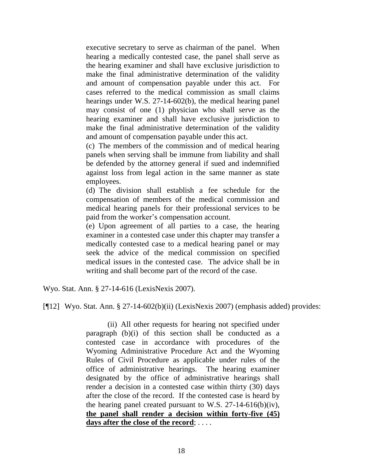executive secretary to serve as chairman of the panel. When hearing a medically contested case, the panel shall serve as the hearing examiner and shall have exclusive jurisdiction to make the final administrative determination of the validity and amount of compensation payable under this act. For cases referred to the medical commission as small claims hearings under W.S. 27-14-602(b), the medical hearing panel may consist of one (1) physician who shall serve as the hearing examiner and shall have exclusive jurisdiction to make the final administrative determination of the validity and amount of compensation payable under this act.

(c) The members of the commission and of medical hearing panels when serving shall be immune from liability and shall be defended by the attorney general if sued and indemnified against loss from legal action in the same manner as state employees.

(d) The division shall establish a fee schedule for the compensation of members of the medical commission and medical hearing panels for their professional services to be paid from the worker's compensation account.

(e) Upon agreement of all parties to a case, the hearing examiner in a contested case under this chapter may transfer a medically contested case to a medical hearing panel or may seek the advice of the medical commission on specified medical issues in the contested case. The advice shall be in writing and shall become part of the record of the case.

Wyo. Stat. Ann. § 27-14-616 (LexisNexis 2007).

[¶12] Wyo. Stat. Ann. § 27-14-602(b)(ii) (LexisNexis 2007) (emphasis added) provides:

(ii) All other requests for hearing not specified under paragraph (b)(i) of this section shall be conducted as a contested case in accordance with procedures of the Wyoming Administrative Procedure Act and the Wyoming Rules of Civil Procedure as applicable under rules of the office of administrative hearings. The hearing examiner designated by the office of administrative hearings shall render a decision in a contested case within thirty (30) days after the close of the record. If the contested case is heard by the hearing panel created pursuant to W.S. 27-14-616(b)(iv), **the panel shall render a decision within forty-five (45) days after the close of the record**; . . . .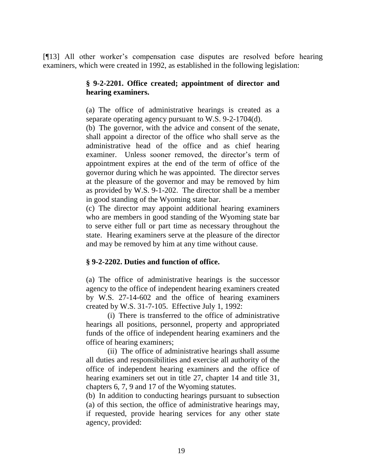[¶13] All other worker's compensation case disputes are resolved before hearing examiners, which were created in 1992, as established in the following legislation:

### **§ 9-2-2201. Office created; appointment of director and hearing examiners.**

(a) The office of administrative hearings is created as a separate operating agency pursuant to W.S. 9-2-1704(d).

(b) The governor, with the advice and consent of the senate, shall appoint a director of the office who shall serve as the administrative head of the office and as chief hearing examiner. Unless sooner removed, the director's term of appointment expires at the end of the term of office of the governor during which he was appointed. The director serves at the pleasure of the governor and may be removed by him as provided by W.S. 9-1-202. The director shall be a member in good standing of the Wyoming state bar.

(c) The director may appoint additional hearing examiners who are members in good standing of the Wyoming state bar to serve either full or part time as necessary throughout the state. Hearing examiners serve at the pleasure of the director and may be removed by him at any time without cause.

# **§ 9-2-2202. Duties and function of office.**

(a) The office of administrative hearings is the successor agency to the office of independent hearing examiners created by W.S. 27-14-602 and the office of hearing examiners created by W.S. 31-7-105. Effective July 1, 1992:

(i) There is transferred to the office of administrative hearings all positions, personnel, property and appropriated funds of the office of independent hearing examiners and the office of hearing examiners;

(ii) The office of administrative hearings shall assume all duties and responsibilities and exercise all authority of the office of independent hearing examiners and the office of hearing examiners set out in title 27, chapter 14 and title 31, chapters 6, 7, 9 and 17 of the Wyoming statutes.

(b) In addition to conducting hearings pursuant to subsection (a) of this section, the office of administrative hearings may, if requested, provide hearing services for any other state agency, provided: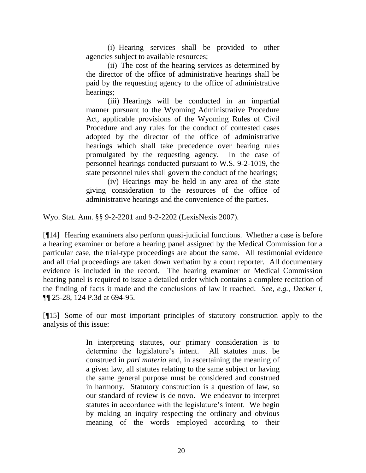(i) Hearing services shall be provided to other agencies subject to available resources;

(ii) The cost of the hearing services as determined by the director of the office of administrative hearings shall be paid by the requesting agency to the office of administrative hearings;

(iii) Hearings will be conducted in an impartial manner pursuant to the Wyoming Administrative Procedure Act, applicable provisions of the Wyoming Rules of Civil Procedure and any rules for the conduct of contested cases adopted by the director of the office of administrative hearings which shall take precedence over hearing rules promulgated by the requesting agency. In the case of personnel hearings conducted pursuant to W.S. 9-2-1019, the state personnel rules shall govern the conduct of the hearings;

(iv) Hearings may be held in any area of the state giving consideration to the resources of the office of administrative hearings and the convenience of the parties.

Wyo. Stat. Ann. §§ 9-2-2201 and 9-2-2202 (LexisNexis 2007).

[¶14] Hearing examiners also perform quasi-judicial functions. Whether a case is before a hearing examiner or before a hearing panel assigned by the Medical Commission for a particular case, the trial-type proceedings are about the same. All testimonial evidence and all trial proceedings are taken down verbatim by a court reporter. All documentary evidence is included in the record. The hearing examiner or Medical Commission hearing panel is required to issue a detailed order which contains a complete recitation of the finding of facts it made and the conclusions of law it reached. *See, e.g., Decker I,*  ¶¶ 25-28, 124 P.3d at 694-95.

[¶15] Some of our most important principles of statutory construction apply to the analysis of this issue:

> In interpreting statutes, our primary consideration is to determine the legislature's intent. All statutes must be construed in *pari materia* and, in ascertaining the meaning of a given law, all statutes relating to the same subject or having the same general purpose must be considered and construed in harmony. Statutory construction is a question of law, so our standard of review is de novo. We endeavor to interpret statutes in accordance with the legislature's intent. We begin by making an inquiry respecting the ordinary and obvious meaning of the words employed according to their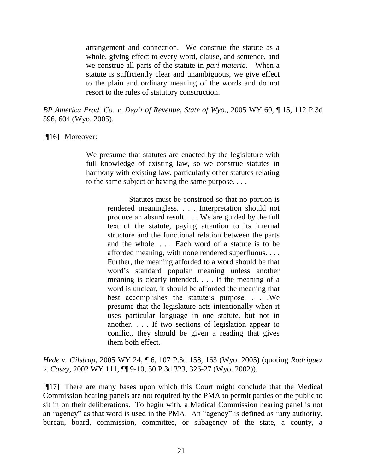arrangement and connection. We construe the statute as a whole, giving effect to every word, clause, and sentence, and we construe all parts of the statute in *pari materia*. When a statute is sufficiently clear and unambiguous, we give effect to the plain and ordinary meaning of the words and do not resort to the rules of statutory construction.

*BP America Prod. Co. v. Dep't of Revenue, State of Wyo.*, 2005 WY 60, ¶ 15, 112 P.3d 596, 604 (Wyo. 2005).

### [¶16] Moreover:

We presume that statutes are enacted by the legislature with full knowledge of existing law, so we construe statutes in harmony with existing law, particularly other statutes relating to the same subject or having the same purpose. . . .

> Statutes must be construed so that no portion is rendered meaningless. . . . Interpretation should not produce an absurd result. . . . We are guided by the full text of the statute, paying attention to its internal structure and the functional relation between the parts and the whole. . . . Each word of a statute is to be afforded meaning, with none rendered superfluous. . . . Further, the meaning afforded to a word should be that word's standard popular meaning unless another meaning is clearly intended. . . . If the meaning of a word is unclear, it should be afforded the meaning that best accomplishes the statute's purpose. . . .We presume that the legislature acts intentionally when it uses particular language in one statute, but not in another. . . . If two sections of legislation appear to conflict, they should be given a reading that gives them both effect.

*Hede v. Gilstrap*, 2005 WY 24, ¶ 6, 107 P.3d 158, 163 (Wyo. 2005) (quoting *Rodriguez v. Casey*, 2002 WY 111, ¶¶ 9-10, 50 P.3d 323, 326-27 (Wyo. 2002)).

[¶17] There are many bases upon which this Court might conclude that the Medical Commission hearing panels are not required by the PMA to permit parties or the public to sit in on their deliberations. To begin with, a Medical Commission hearing panel is not an "agency" as that word is used in the PMA. An "agency" is defined as "any authority, bureau, board, commission, committee, or subagency of the state, a county, a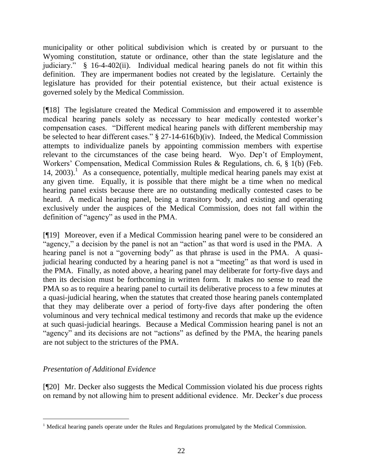municipality or other political subdivision which is created by or pursuant to the Wyoming constitution, statute or ordinance, other than the state legislature and the judiciary." § 16-4-402(ii). Individual medical hearing panels do not fit within this definition. They are impermanent bodies not created by the legislature. Certainly the legislature has provided for their potential existence, but their actual existence is governed solely by the Medical Commission.

[¶18] The legislature created the Medical Commission and empowered it to assemble medical hearing panels solely as necessary to hear medically contested worker's compensation cases. "Different medical hearing panels with different membership may be selected to hear different cases." § 27-14-616(b)(iv). Indeed, the Medical Commission attempts to individualize panels by appointing commission members with expertise relevant to the circumstances of the case being heard. Wyo. Dep't of Employment, Workers' Compensation, Medical Commission Rules & Regulations, ch. 6, § 1(b) (Feb. 14, 2003).<sup>1</sup> As a consequence, potentially, multiple medical hearing panels may exist at any given time. Equally, it is possible that there might be a time when no medical hearing panel exists because there are no outstanding medically contested cases to be heard. A medical hearing panel, being a transitory body, and existing and operating exclusively under the auspices of the Medical Commission, does not fall within the definition of "agency" as used in the PMA.

[¶19] Moreover, even if a Medical Commission hearing panel were to be considered an "agency," a decision by the panel is not an "action" as that word is used in the PMA. A hearing panel is not a "governing body" as that phrase is used in the PMA. A quasijudicial hearing conducted by a hearing panel is not a "meeting" as that word is used in the PMA. Finally, as noted above, a hearing panel may deliberate for forty-five days and then its decision must be forthcoming in written form. It makes no sense to read the PMA so as to require a hearing panel to curtail its deliberative process to a few minutes at a quasi-judicial hearing, when the statutes that created those hearing panels contemplated that they may deliberate over a period of forty-five days after pondering the often voluminous and very technical medical testimony and records that make up the evidence at such quasi-judicial hearings. Because a Medical Commission hearing panel is not an "agency" and its decisions are not "actions" as defined by the PMA, the hearing panels are not subject to the strictures of the PMA.

# *Presentation of Additional Evidence*

 $\overline{a}$ 

[¶20] Mr. Decker also suggests the Medical Commission violated his due process rights on remand by not allowing him to present additional evidence. Mr. Decker's due process

<sup>&</sup>lt;sup>1</sup> Medical hearing panels operate under the Rules and Regulations promulgated by the Medical Commission.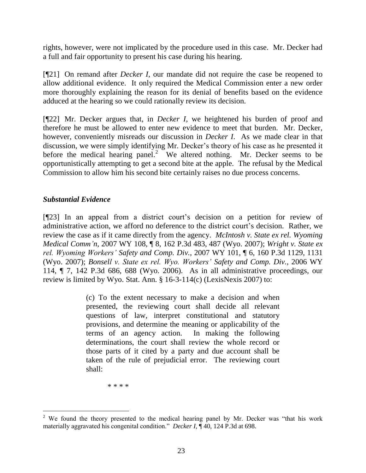rights, however, were not implicated by the procedure used in this case. Mr. Decker had a full and fair opportunity to present his case during his hearing.

[¶21] On remand after *Decker I*, our mandate did not require the case be reopened to allow additional evidence. It only required the Medical Commission enter a new order more thoroughly explaining the reason for its denial of benefits based on the evidence adduced at the hearing so we could rationally review its decision.

[¶22] Mr. Decker argues that, in *Decker I*, we heightened his burden of proof and therefore he must be allowed to enter new evidence to meet that burden. Mr. Decker, however, conveniently misreads our discussion in *Decker I*. As we made clear in that discussion, we were simply identifying Mr. Decker's theory of his case as he presented it before the medical hearing panel.<sup>2</sup> We altered nothing. Mr. Decker seems to be opportunistically attempting to get a second bite at the apple. The refusal by the Medical Commission to allow him his second bite certainly raises no due process concerns.

# *Substantial Evidence*

[¶23] In an appeal from a district court's decision on a petition for review of administrative action, we afford no deference to the district court's decision. Rather, we review the case as if it came directly from the agency. *McIntosh v. State ex rel. Wyoming Medical Comm'n*, 2007 WY 108, ¶ 8, 162 P.3d 483, 487 (Wyo. 2007); *Wright v. State ex rel. Wyoming Workers' Safety and Comp. Div.*, 2007 WY 101, ¶ 6, 160 P.3d 1129, 1131 (Wyo. 2007); *Bonsell v. State ex rel. Wyo. Workers' Safety and Comp. Div.*, 2006 WY 114, ¶ 7, 142 P.3d 686, 688 (Wyo. 2006). As in all administrative proceedings, our review is limited by Wyo. Stat. Ann. § 16-3-114(c) (LexisNexis 2007) to:

> (c) To the extent necessary to make a decision and when presented, the reviewing court shall decide all relevant questions of law, interpret constitutional and statutory provisions, and determine the meaning or applicability of the terms of an agency action. In making the following determinations, the court shall review the whole record or those parts of it cited by a party and due account shall be taken of the rule of prejudicial error. The reviewing court shall:

> > \* \* \* \*

 $\overline{a}$ <sup>2</sup> We found the theory presented to the medical hearing panel by Mr. Decker was "that his work" materially aggravated his congenital condition." *Decker I,* ¶ 40, 124 P.3d at 698.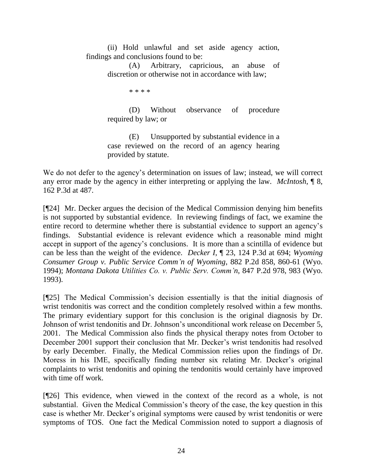(ii) Hold unlawful and set aside agency action, findings and conclusions found to be:

> (A) Arbitrary, capricious, an abuse of discretion or otherwise not in accordance with law;

> > \* \* \* \*

(D) Without observance of procedure required by law; or

(E) Unsupported by substantial evidence in a case reviewed on the record of an agency hearing provided by statute.

We do not defer to the agency's determination on issues of law; instead, we will correct any error made by the agency in either interpreting or applying the law. *McIntosh*, ¶ 8, 162 P.3d at 487.

[¶24] Mr. Decker argues the decision of the Medical Commission denying him benefits is not supported by substantial evidence. In reviewing findings of fact, we examine the entire record to determine whether there is substantial evidence to support an agency's findings. Substantial evidence is relevant evidence which a reasonable mind might accept in support of the agency's conclusions. It is more than a scintilla of evidence but can be less than the weight of the evidence. *Decker I*, ¶ 23, 124 P.3d at 694; *Wyoming Consumer Group v. Public Service Comm'n of Wyoming*, 882 P.2d 858, 860-61 (Wyo. 1994); *Montana Dakota Utilities Co. v. Public Serv. Comm'n*, 847 P.2d 978, 983 (Wyo. 1993).

[¶25] The Medical Commission's decision essentially is that the initial diagnosis of wrist tendonitis was correct and the condition completely resolved within a few months. The primary evidentiary support for this conclusion is the original diagnosis by Dr. Johnson of wrist tendonitis and Dr. Johnson's unconditional work release on December 5, 2001. The Medical Commission also finds the physical therapy notes from October to December 2001 support their conclusion that Mr. Decker's wrist tendonitis had resolved by early December. Finally, the Medical Commission relies upon the findings of Dr. Moress in his IME, specifically finding number six relating Mr. Decker's original complaints to wrist tendonitis and opining the tendonitis would certainly have improved with time off work.

[¶26] This evidence, when viewed in the context of the record as a whole, is not substantial. Given the Medical Commission's theory of the case, the key question in this case is whether Mr. Decker's original symptoms were caused by wrist tendonitis or were symptoms of TOS. One fact the Medical Commission noted to support a diagnosis of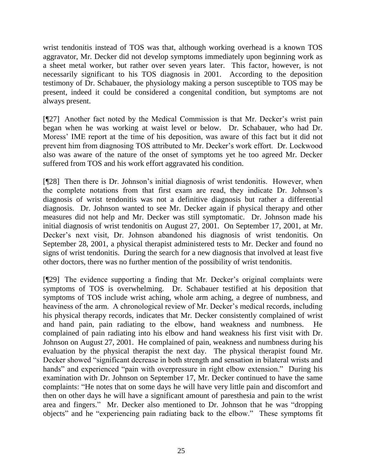wrist tendonitis instead of TOS was that, although working overhead is a known TOS aggravator, Mr. Decker did not develop symptoms immediately upon beginning work as a sheet metal worker, but rather over seven years later. This factor, however, is not necessarily significant to his TOS diagnosis in 2001. According to the deposition testimony of Dr. Schabauer, the physiology making a person susceptible to TOS may be present, indeed it could be considered a congenital condition, but symptoms are not always present.

[¶27] Another fact noted by the Medical Commission is that Mr. Decker's wrist pain began when he was working at waist level or below. Dr. Schabauer, who had Dr. Moress' IME report at the time of his deposition, was aware of this fact but it did not prevent him from diagnosing TOS attributed to Mr. Decker's work effort. Dr. Lockwood also was aware of the nature of the onset of symptoms yet he too agreed Mr. Decker suffered from TOS and his work effort aggravated his condition.

[¶28] Then there is Dr. Johnson's initial diagnosis of wrist tendonitis. However, when the complete notations from that first exam are read, they indicate Dr. Johnson's diagnosis of wrist tendonitis was not a definitive diagnosis but rather a differential diagnosis. Dr. Johnson wanted to see Mr. Decker again if physical therapy and other measures did not help and Mr. Decker was still symptomatic. Dr. Johnson made his initial diagnosis of wrist tendonitis on August 27, 2001. On September 17, 2001, at Mr. Decker's next visit, Dr. Johnson abandoned his diagnosis of wrist tendonitis. On September 28, 2001, a physical therapist administered tests to Mr. Decker and found no signs of wrist tendonitis. During the search for a new diagnosis that involved at least five other doctors, there was no further mention of the possibility of wrist tendonitis.

[¶29] The evidence supporting a finding that Mr. Decker's original complaints were symptoms of TOS is overwhelming. Dr. Schabauer testified at his deposition that symptoms of TOS include wrist aching, whole arm aching, a degree of numbness, and heaviness of the arm. A chronological review of Mr. Decker's medical records, including his physical therapy records, indicates that Mr. Decker consistently complained of wrist and hand pain, pain radiating to the elbow, hand weakness and numbness. He complained of pain radiating into his elbow and hand weakness his first visit with Dr. Johnson on August 27, 2001. He complained of pain, weakness and numbness during his evaluation by the physical therapist the next day. The physical therapist found Mr. Decker showed "significant decrease in both strength and sensation in bilateral wrists and hands" and experienced "pain with overpressure in right elbow extension." During his examination with Dr. Johnson on September 17, Mr. Decker continued to have the same complaints: "He notes that on some days he will have very little pain and discomfort and then on other days he will have a significant amount of paresthesia and pain to the wrist area and fingers." Mr. Decker also mentioned to Dr. Johnson that he was "dropping objects" and he "experiencing pain radiating back to the elbow." These symptoms fit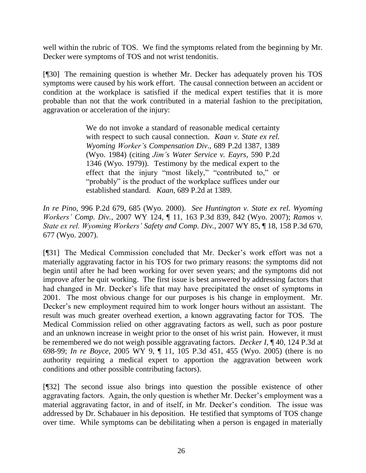well within the rubric of TOS. We find the symptoms related from the beginning by Mr. Decker were symptoms of TOS and not wrist tendonitis.

[¶30] The remaining question is whether Mr. Decker has adequately proven his TOS symptoms were caused by his work effort. The causal connection between an accident or condition at the workplace is satisfied if the medical expert testifies that it is more probable than not that the work contributed in a material fashion to the precipitation, aggravation or acceleration of the injury:

> We do not invoke a standard of reasonable medical certainty with respect to such causal connection. *Kaan v. State ex rel. Wyoming Worker's Compensation Div*., 689 P.2d 1387, 1389 (Wyo. 1984) (citing *Jim's Water Service v. Eayrs*, 590 P.2d 1346 (Wyo. 1979)). Testimony by the medical expert to the effect that the injury "most likely," "contributed to," or "probably" is the product of the workplace suffices under our established standard. *Kaan*, 689 P.2d at 1389.

*In re Pino,* 996 P.2d 679, 685 (Wyo. 2000). *See Huntington v. State ex rel. Wyoming Workers' Comp. Div.*, 2007 WY 124, ¶ 11, 163 P.3d 839, 842 (Wyo. 2007); *Ramos v. State ex rel. Wyoming Workers' Safety and Comp. Div.*, 2007 WY 85, ¶ 18, 158 P.3d 670, 677 (Wyo. 2007).

[¶31] The Medical Commission concluded that Mr. Decker's work effort was not a materially aggravating factor in his TOS for two primary reasons: the symptoms did not begin until after he had been working for over seven years; and the symptoms did not improve after he quit working. The first issue is best answered by addressing factors that had changed in Mr. Decker's life that may have precipitated the onset of symptoms in 2001. The most obvious change for our purposes is his change in employment. Mr. Decker's new employment required him to work longer hours without an assistant. The result was much greater overhead exertion, a known aggravating factor for TOS. The Medical Commission relied on other aggravating factors as well, such as poor posture and an unknown increase in weight prior to the onset of his wrist pain. However, it must be remembered we do not weigh possible aggravating factors. *Decker I*, ¶ 40, 124 P.3d at 698-99; *In re Boyce,* 2005 WY 9, ¶ 11, 105 P.3d 451, 455 (Wyo. 2005) (there is no authority requiring a medical expert to apportion the aggravation between work conditions and other possible contributing factors).

[¶32] The second issue also brings into question the possible existence of other aggravating factors. Again, the only question is whether Mr. Decker's employment was a material aggravating factor, in and of itself, in Mr. Decker's condition. The issue was addressed by Dr. Schabauer in his deposition. He testified that symptoms of TOS change over time. While symptoms can be debilitating when a person is engaged in materially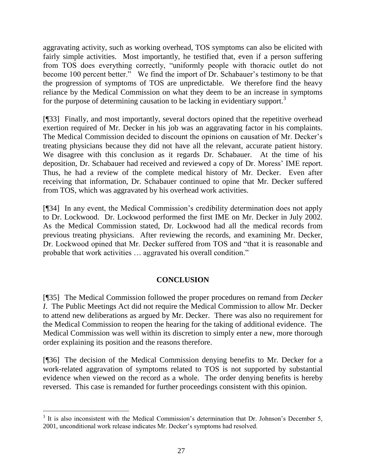aggravating activity, such as working overhead, TOS symptoms can also be elicited with fairly simple activities. Most importantly, he testified that, even if a person suffering from TOS does everything correctly, "uniformly people with thoracic outlet do not become 100 percent better." We find the import of Dr. Schabauer's testimony to be that the progression of symptoms of TOS are unpredictable. We therefore find the heavy reliance by the Medical Commission on what they deem to be an increase in symptoms for the purpose of determining causation to be lacking in evidentiary support.<sup>3</sup>

[¶33] Finally, and most importantly, several doctors opined that the repetitive overhead exertion required of Mr. Decker in his job was an aggravating factor in his complaints. The Medical Commission decided to discount the opinions on causation of Mr. Decker's treating physicians because they did not have all the relevant, accurate patient history. We disagree with this conclusion as it regards Dr. Schabauer. At the time of his deposition, Dr. Schabauer had received and reviewed a copy of Dr. Moress' IME report. Thus, he had a review of the complete medical history of Mr. Decker. Even after receiving that information, Dr. Schabauer continued to opine that Mr. Decker suffered from TOS, which was aggravated by his overhead work activities.

[¶34] In any event, the Medical Commission's credibility determination does not apply to Dr. Lockwood. Dr. Lockwood performed the first IME on Mr. Decker in July 2002. As the Medical Commission stated, Dr. Lockwood had all the medical records from previous treating physicians. After reviewing the records, and examining Mr. Decker, Dr. Lockwood opined that Mr. Decker suffered from TOS and "that it is reasonable and probable that work activities … aggravated his overall condition."

# **CONCLUSION**

[¶35] The Medical Commission followed the proper procedures on remand from *Decker I*. The Public Meetings Act did not require the Medical Commission to allow Mr. Decker to attend new deliberations as argued by Mr. Decker. There was also no requirement for the Medical Commission to reopen the hearing for the taking of additional evidence. The Medical Commission was well within its discretion to simply enter a new, more thorough order explaining its position and the reasons therefore.

[¶36] The decision of the Medical Commission denying benefits to Mr. Decker for a work-related aggravation of symptoms related to TOS is not supported by substantial evidence when viewed on the record as a whole. The order denying benefits is hereby reversed. This case is remanded for further proceedings consistent with this opinion.

 $\overline{a}$ 

<sup>&</sup>lt;sup>3</sup> It is also inconsistent with the Medical Commission's determination that Dr. Johnson's December 5, 2001, unconditional work release indicates Mr. Decker's symptoms had resolved.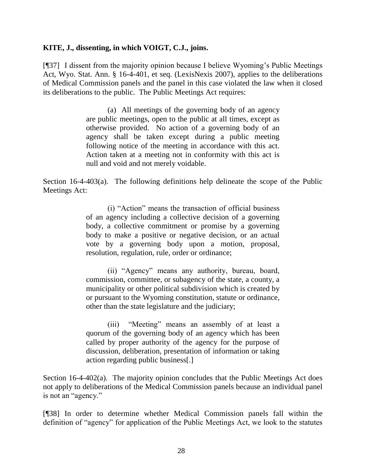### **KITE, J., dissenting, in which VOIGT, C.J., joins.**

[¶37] I dissent from the majority opinion because I believe Wyoming's Public Meetings Act, Wyo. Stat. Ann. § 16-4-401, et seq. (LexisNexis 2007), applies to the deliberations of Medical Commission panels and the panel in this case violated the law when it closed its deliberations to the public. The Public Meetings Act requires:

> (a) All meetings of the governing body of an agency are public meetings, open to the public at all times, except as otherwise provided. No action of a governing body of an agency shall be taken except during a public meeting following notice of the meeting in accordance with this act. Action taken at a meeting not in conformity with this act is null and void and not merely voidable.

Section 16-4-403(a). The following definitions help delineate the scope of the Public Meetings Act:

> (i) "Action" means the transaction of official business of an agency including a collective decision of a governing body, a collective commitment or promise by a governing body to make a positive or negative decision, or an actual vote by a governing body upon a motion, proposal, resolution, regulation, rule, order or ordinance;

> (ii) "Agency" means any authority, bureau, board, commission, committee, or subagency of the state, a county, a municipality or other political subdivision which is created by or pursuant to the Wyoming constitution, statute or ordinance, other than the state legislature and the judiciary;

> (iii) "Meeting" means an assembly of at least a quorum of the governing body of an agency which has been called by proper authority of the agency for the purpose of discussion, deliberation, presentation of information or taking action regarding public business[.]

Section 16-4-402(a). The majority opinion concludes that the Public Meetings Act does not apply to deliberations of the Medical Commission panels because an individual panel is not an "agency."

[¶38] In order to determine whether Medical Commission panels fall within the definition of "agency" for application of the Public Meetings Act, we look to the statutes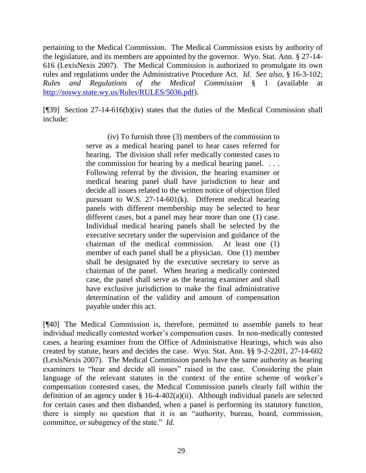pertaining to the Medical Commission. The Medical Commission exists by authority of the legislature, and its members are appointed by the governor. Wyo. Stat. Ann. § 27-14- 616 (LexisNexis 2007). The Medical Commission is authorized to promulgate its own rules and regulations under the Administrative Procedure Act. *Id. See also*, § 16-3-102; *Rules and Regulations of the Medical Commission* § 1 (available at [http://soswy.state.wy.us/Rules/RULES/5036.pdf\)](http://soswy.state.wy.us/Rules/RULES/5036.pdf).

[¶39] Section 27-14-616(b)(iv) states that the duties of the Medical Commission shall include:

> (iv) To furnish three (3) members of the commission to serve as a medical hearing panel to hear cases referred for hearing. The division shall refer medically contested cases to the commission for hearing by a medical hearing panel. . . . Following referral by the division, the hearing examiner or medical hearing panel shall have jurisdiction to hear and decide all issues related to the written notice of objection filed pursuant to W.S.  $27-14-601(k)$ . Different medical hearing panels with different membership may be selected to hear different cases, but a panel may hear more than one (1) case. Individual medical hearing panels shall be selected by the executive secretary under the supervision and guidance of the chairman of the medical commission. At least one (1) member of each panel shall be a physician. One (1) member shall be designated by the executive secretary to serve as chairman of the panel. When hearing a medically contested case, the panel shall serve as the hearing examiner and shall have exclusive jurisdiction to make the final administrative determination of the validity and amount of compensation payable under this act.

[¶40] The Medical Commission is, therefore, permitted to assemble panels to hear individual medically contested worker's compensation cases. In non-medically contested cases, a hearing examiner from the Office of Administrative Hearings, which was also created by statute, hears and decides the case. Wyo. Stat. Ann. §§ 9-2-2201, 27-14-602 (LexisNexis 2007). The Medical Commission panels have the same authority as hearing examiners to "hear and decide all issues" raised in the case. Considering the plain language of the relevant statutes in the context of the entire scheme of worker's compensation contested cases, the Medical Commission panels clearly fall within the definition of an agency under  $\S$  16-4-402(a)(ii). Although individual panels are selected for certain cases and then disbanded, when a panel is performing its statutory function, there is simply no question that it is an "authority, bureau, board, commission, committee, or subagency of the state." *Id.*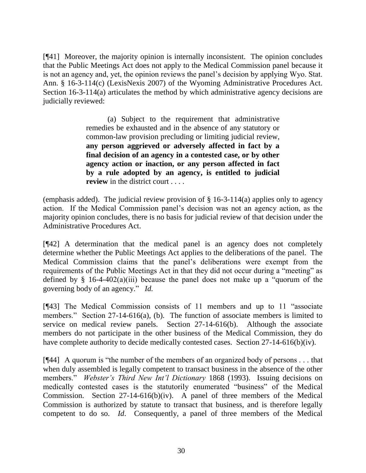[¶41] Moreover, the majority opinion is internally inconsistent. The opinion concludes that the Public Meetings Act does not apply to the Medical Commission panel because it is not an agency and, yet, the opinion reviews the panel's decision by applying Wyo. Stat. Ann. § 16-3-114(c) (LexisNexis 2007) of the Wyoming Administrative Procedures Act. Section 16-3-114(a) articulates the method by which administrative agency decisions are judicially reviewed:

> (a) Subject to the requirement that administrative remedies be exhausted and in the absence of any statutory or common-law provision precluding or limiting judicial review, **any person aggrieved or adversely affected in fact by a final decision of an agency in a contested case, or by other agency action or inaction, or any person affected in fact by a rule adopted by an agency, is entitled to judicial review** in the district court . . . .

(emphasis added). The judicial review provision of  $\S$  16-3-114(a) applies only to agency action. If the Medical Commission panel's decision was not an agency action, as the majority opinion concludes, there is no basis for judicial review of that decision under the Administrative Procedures Act.

[¶42] A determination that the medical panel is an agency does not completely determine whether the Public Meetings Act applies to the deliberations of the panel. The Medical Commission claims that the panel's deliberations were exempt from the requirements of the Public Meetings Act in that they did not occur during a "meeting" as defined by  $\S$  16-4-402(a)(iii) because the panel does not make up a "quorum of the governing body of an agency." *Id.* 

[¶43] The Medical Commission consists of 11 members and up to 11 "associate members." Section 27-14-616(a), (b). The function of associate members is limited to service on medical review panels. Section 27-14-616(b). Although the associate members do not participate in the other business of the Medical Commission, they do have complete authority to decide medically contested cases. Section 27-14-616(b)(iv).

[¶44] A quorum is "the number of the members of an organized body of persons . . . that when duly assembled is legally competent to transact business in the absence of the other members." *Webster's Third New Int'l Dictionary* 1868 (1993). Issuing decisions on medically contested cases is the statutorily enumerated "business" of the Medical Commission. Section  $27-14-616(b)(iv)$ . A panel of three members of the Medical Commission is authorized by statute to transact that business, and is therefore legally competent to do so. *Id*. Consequently, a panel of three members of the Medical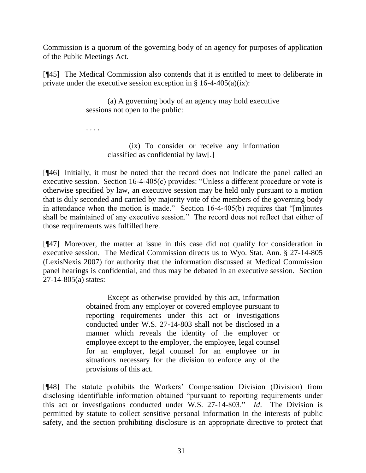Commission is a quorum of the governing body of an agency for purposes of application of the Public Meetings Act.

[¶45] The Medical Commission also contends that it is entitled to meet to deliberate in private under the executive session exception in  $\S$  16-4-405(a)(ix):

> (a) A governing body of an agency may hold executive sessions not open to the public:

. . . .

(ix) To consider or receive any information classified as confidential by law[.]

[¶46] Initially, it must be noted that the record does not indicate the panel called an executive session. Section 16-4-405(c) provides: "Unless a different procedure or vote is otherwise specified by law, an executive session may be held only pursuant to a motion that is duly seconded and carried by majority vote of the members of the governing body in attendance when the motion is made." Section 16-4-405(b) requires that "[m]inutes shall be maintained of any executive session." The record does not reflect that either of those requirements was fulfilled here.

[¶47] Moreover, the matter at issue in this case did not qualify for consideration in executive session. The Medical Commission directs us to Wyo. Stat. Ann. § 27-14-805 (LexisNexis 2007) for authority that the information discussed at Medical Commission panel hearings is confidential, and thus may be debated in an executive session. Section 27-14-805(a) states:

> Except as otherwise provided by this act, information obtained from any employer or covered employee pursuant to reporting requirements under this act or investigations conducted under W.S. 27-14-803 shall not be disclosed in a manner which reveals the identity of the employer or employee except to the employer, the employee, legal counsel for an employer, legal counsel for an employee or in situations necessary for the division to enforce any of the provisions of this act.

[¶48] The statute prohibits the Workers' Compensation Division (Division) from disclosing identifiable information obtained "pursuant to reporting requirements under this act or investigations conducted under W.S. 27-14-803." *Id*. The Division is permitted by statute to collect sensitive personal information in the interests of public safety, and the section prohibiting disclosure is an appropriate directive to protect that